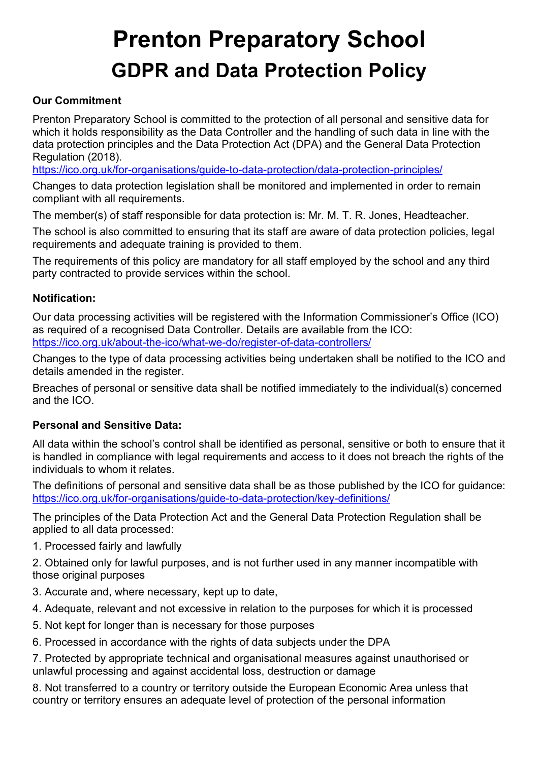# **Prenton Preparatory School GDPR and Data Protection Policy**

## **Our Commitment**

Prenton Preparatory School is committed to the protection of all personal and sensitive data for which it holds responsibility as the Data Controller and the handling of such data in line with the data protection principles and the Data Protection Act (DPA) and the General Data Protection Regulation (2018).

<https://ico.org.uk/for-organisations/guide-to-data-protection/data-protection-principles/>

Changes to data protection legislation shall be monitored and implemented in order to remain compliant with all requirements.

The member(s) of staff responsible for data protection is: Mr. M. T. R. Jones, Headteacher.

The school is also committed to ensuring that its staff are aware of data protection policies, legal requirements and adequate training is provided to them.

The requirements of this policy are mandatory for all staff employed by the school and any third party contracted to provide services within the school.

## **Notification:**

Our data processing activities will be registered with the Information Commissioner's Office (ICO) as required of a recognised Data Controller. Details are available from the ICO: <https://ico.org.uk/about-the-ico/what-we-do/register-of-data-controllers/>

Changes to the type of data processing activities being undertaken shall be notified to the ICO and details amended in the register.

Breaches of personal or sensitive data shall be notified immediately to the individual(s) concerned and the ICO.

## **Personal and Sensitive Data:**

All data within the school's control shall be identified as personal, sensitive or both to ensure that it is handled in compliance with legal requirements and access to it does not breach the rights of the individuals to whom it relates.

The definitions of personal and sensitive data shall be as those published by the ICO for guidance: <https://ico.org.uk/for-organisations/guide-to-data-protection/key-definitions/>

The principles of the Data Protection Act and the General Data Protection Regulation shall be applied to all data processed:

1. Processed fairly and lawfully

2. Obtained only for lawful purposes, and is not further used in any manner incompatible with those original purposes

- 3. Accurate and, where necessary, kept up to date,
- 4. Adequate, relevant and not excessive in relation to the purposes for which it is processed
- 5. Not kept for longer than is necessary for those purposes
- 6. Processed in accordance with the rights of data subjects under the DPA

7. Protected by appropriate technical and organisational measures against unauthorised or unlawful processing and against accidental loss, destruction or damage

8. Not transferred to a country or territory outside the European Economic Area unless that country or territory ensures an adequate level of protection of the personal information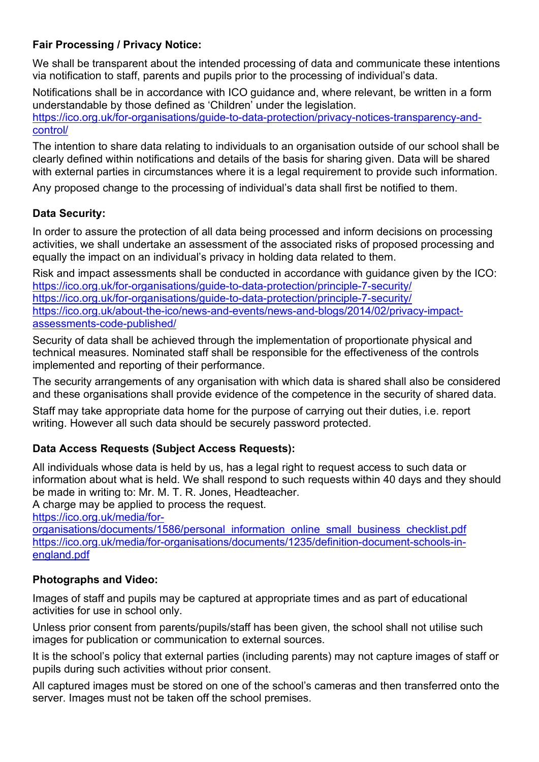# **Fair Processing / Privacy Notice:**

We shall be transparent about the intended processing of data and communicate these intentions via notification to staff, parents and pupils prior to the processing of individual's data.

Notifications shall be in accordance with ICO guidance and, where relevant, be written in a form understandable by those defined as 'Children' under the legislation.

[https://ico.org.uk/for-organisations/guide-to-data-protection/privacy-notices-transparency-and](https://ico.org.uk/for-organisations/guide-to-data-protection/privacy-notices-transparency-and-control/)[control/](https://ico.org.uk/for-organisations/guide-to-data-protection/privacy-notices-transparency-and-control/)

The intention to share data relating to individuals to an organisation outside of our school shall be clearly defined within notifications and details of the basis for sharing given. Data will be shared with external parties in circumstances where it is a legal requirement to provide such information.

Any proposed change to the processing of individual's data shall first be notified to them.

# **Data Security:**

In order to assure the protection of all data being processed and inform decisions on processing activities, we shall undertake an assessment of the associated risks of proposed processing and equally the impact on an individual's privacy in holding data related to them.

Risk and impact assessments shall be conducted in accordance with guidance given by the ICO: <https://ico.org.uk/for-organisations/guide-to-data-protection/principle-7-security/> <https://ico.org.uk/for-organisations/guide-to-data-protection/principle-7-security/> [https://ico.org.uk/about-the-ico/news-and-events/news-and-blogs/2014/02/privacy-impact](https://ico.org.uk/about-the-ico/news-and-events/news-and-blogs/2014/02/privacy-impact-assessments-code-published/)[assessments-code-published/](https://ico.org.uk/about-the-ico/news-and-events/news-and-blogs/2014/02/privacy-impact-assessments-code-published/)

Security of data shall be achieved through the implementation of proportionate physical and technical measures. Nominated staff shall be responsible for the effectiveness of the controls implemented and reporting of their performance.

The security arrangements of any organisation with which data is shared shall also be considered and these organisations shall provide evidence of the competence in the security of shared data.

Staff may take appropriate data home for the purpose of carrying out their duties, i.e. report writing. However all such data should be securely password protected.

# **Data Access Requests (Subject Access Requests):**

All individuals whose data is held by us, has a legal right to request access to such data or information about what is held. We shall respond to such requests within 40 days and they should be made in writing to: Mr. M. T. R. Jones, Headteacher.

A charge may be applied to process the request.

[https://ico.org.uk/media/for-](https://ico.org.uk/media/for-organisations/documents/1586/personal_information_online_small_business_checklist.pdf)

[organisations/documents/1586/personal\\_information\\_online\\_small\\_business\\_checklist.pdf](https://ico.org.uk/media/for-organisations/documents/1586/personal_information_online_small_business_checklist.pdf) [https://ico.org.uk/media/for-organisations/documents/1235/definition-document-schools-in](https://ico.org.uk/media/for-organisations/documents/1235/definition-document-schools-in-england.pdf)[england.pdf](https://ico.org.uk/media/for-organisations/documents/1235/definition-document-schools-in-england.pdf)

# **Photographs and Video:**

Images of staff and pupils may be captured at appropriate times and as part of educational activities for use in school only.

Unless prior consent from parents/pupils/staff has been given, the school shall not utilise such images for publication or communication to external sources.

It is the school's policy that external parties (including parents) may not capture images of staff or pupils during such activities without prior consent.

All captured images must be stored on one of the school's cameras and then transferred onto the server. Images must not be taken off the school premises.